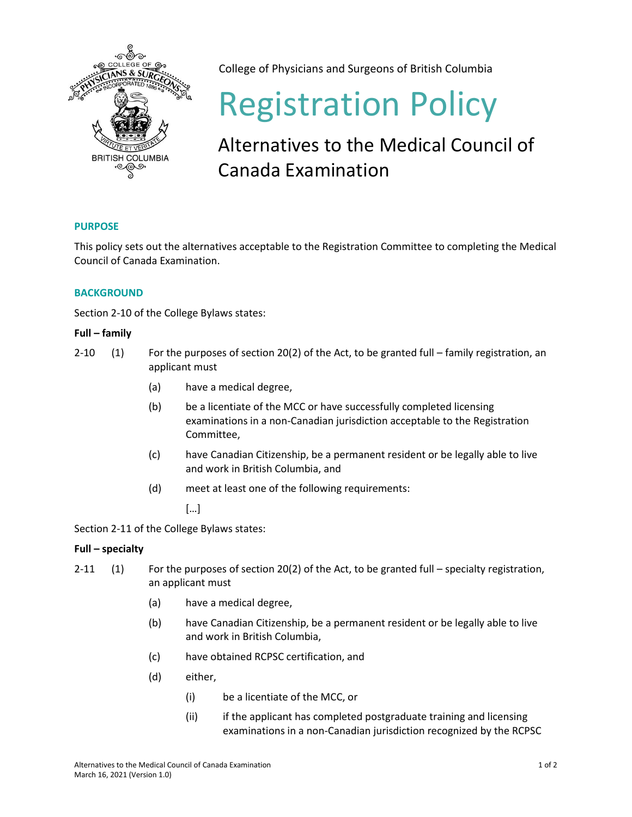

College of Physicians and Surgeons of British Columbia

# Registration Policy

# Alternatives to the Medical Council of Canada Examination

# **PURPOSE**

This policy sets out the alternatives acceptable to the Registration Committee to completing the Medical Council of Canada Examination.

## **BACKGROUND**

Section 2-10 of the College Bylaws states:

### **Full – family**

- 2-10 (1) For the purposes of section 20(2) of the Act, to be granted full family registration, an applicant must
	- (a) have a medical degree,
	- (b) be a licentiate of the MCC or have successfully completed licensing examinations in a non-Canadian jurisdiction acceptable to the Registration Committee,
	- (c) have Canadian Citizenship, be a permanent resident or be legally able to live and work in British Columbia, and
	- (d) meet at least one of the following requirements:

[…]

Section 2-11 of the College Bylaws states:

### **Full – specialty**

- 2-11 (1) For the purposes of section 20(2) of the Act, to be granted full specialty registration, an applicant must
	- (a) have a medical degree,
	- (b) have Canadian Citizenship, be a permanent resident or be legally able to live and work in British Columbia,
	- (c) have obtained RCPSC certification, and
	- (d) either,
		- (i) be a licentiate of the MCC, or
		- (ii) if the applicant has completed postgraduate training and licensing examinations in a non-Canadian jurisdiction recognized by the RCPSC